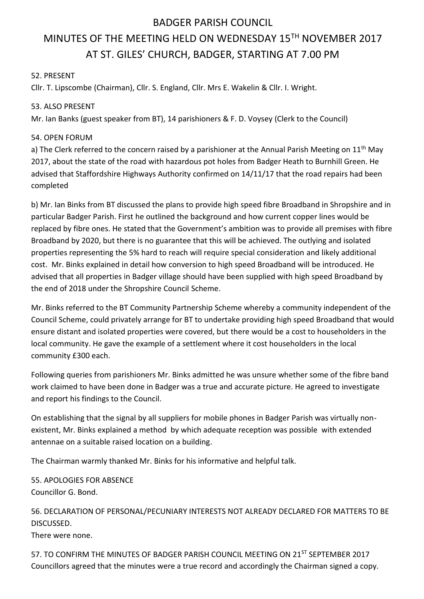# BADGER PARISH COUNCIL

# MINUTES OF THE MEETING HELD ON WEDNESDAY 15TH NOVEMBER 2017 AT ST. GILES' CHURCH, BADGER, STARTING AT 7.00 PM

### 52. PRESENT

Cllr. T. Lipscombe (Chairman), Cllr. S. England, Cllr. Mrs E. Wakelin & Cllr. I. Wright.

#### 53. ALSO PRESENT

Mr. Ian Banks (guest speaker from BT), 14 parishioners & F. D. Voysey (Clerk to the Council)

#### 54. OPEN FORUM

a) The Clerk referred to the concern raised by a parishioner at the Annual Parish Meeting on  $11<sup>th</sup>$  May 2017, about the state of the road with hazardous pot holes from Badger Heath to Burnhill Green. He advised that Staffordshire Highways Authority confirmed on 14/11/17 that the road repairs had been completed

b) Mr. Ian Binks from BT discussed the plans to provide high speed fibre Broadband in Shropshire and in particular Badger Parish. First he outlined the background and how current copper lines would be replaced by fibre ones. He stated that the Government's ambition was to provide all premises with fibre Broadband by 2020, but there is no guarantee that this will be achieved. The outlying and isolated properties representing the 5% hard to reach will require special consideration and likely additional cost. Mr. Binks explained in detail how conversion to high speed Broadband will be introduced. He advised that all properties in Badger village should have been supplied with high speed Broadband by the end of 2018 under the Shropshire Council Scheme.

Mr. Binks referred to the BT Community Partnership Scheme whereby a community independent of the Council Scheme, could privately arrange for BT to undertake providing high speed Broadband that would ensure distant and isolated properties were covered, but there would be a cost to householders in the local community. He gave the example of a settlement where it cost householders in the local community £300 each.

Following queries from parishioners Mr. Binks admitted he was unsure whether some of the fibre band work claimed to have been done in Badger was a true and accurate picture. He agreed to investigate and report his findings to the Council.

On establishing that the signal by all suppliers for mobile phones in Badger Parish was virtually nonexistent, Mr. Binks explained a method by which adequate reception was possible with extended antennae on a suitable raised location on a building.

The Chairman warmly thanked Mr. Binks for his informative and helpful talk.

55. APOLOGIES FOR ABSENCE Councillor G. Bond.

56. DECLARATION OF PERSONAL/PECUNIARY INTERESTS NOT ALREADY DECLARED FOR MATTERS TO BE DISCUSSED.

There were none.

57. TO CONFIRM THE MINUTES OF BADGER PARISH COUNCIL MEETING ON 21<sup>ST</sup> SEPTEMBER 2017 Councillors agreed that the minutes were a true record and accordingly the Chairman signed a copy.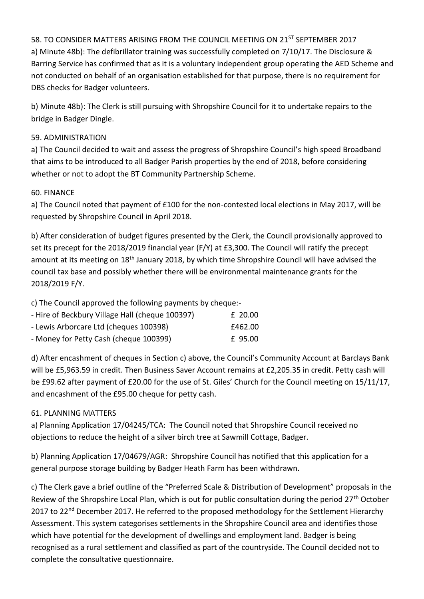58. TO CONSIDER MATTERS ARISING FROM THE COUNCIL MEETING ON 21<sup>ST</sup> SEPTEMBER 2017 a) Minute 48b): The defibrillator training was successfully completed on 7/10/17. The Disclosure & Barring Service has confirmed that as it is a voluntary independent group operating the AED Scheme and not conducted on behalf of an organisation established for that purpose, there is no requirement for DBS checks for Badger volunteers.

b) Minute 48b): The Clerk is still pursuing with Shropshire Council for it to undertake repairs to the bridge in Badger Dingle.

# 59. ADMINISTRATION

a) The Council decided to wait and assess the progress of Shropshire Council's high speed Broadband that aims to be introduced to all Badger Parish properties by the end of 2018, before considering whether or not to adopt the BT Community Partnership Scheme.

#### 60. FINANCE

a) The Council noted that payment of £100 for the non-contested local elections in May 2017, will be requested by Shropshire Council in April 2018.

b) After consideration of budget figures presented by the Clerk, the Council provisionally approved to set its precept for the 2018/2019 financial year (F/Y) at £3,300. The Council will ratify the precept amount at its meeting on 18<sup>th</sup> January 2018, by which time Shropshire Council will have advised the council tax base and possibly whether there will be environmental maintenance grants for the 2018/2019 F/Y.

c) The Council approved the following payments by cheque:-

| - Hire of Beckbury Village Hall (cheque 100397) | £ 20.00 |
|-------------------------------------------------|---------|
| - Lewis Arborcare Ltd (cheques 100398)          | £462.00 |
| - Money for Petty Cash (cheque 100399)          | £ 95.00 |

d) After encashment of cheques in Section c) above, the Council's Community Account at Barclays Bank will be £5,963.59 in credit. Then Business Saver Account remains at £2,205.35 in credit. Petty cash will be £99.62 after payment of £20.00 for the use of St. Giles' Church for the Council meeting on 15/11/17, and encashment of the £95.00 cheque for petty cash.

# 61. PLANNING MATTERS

a) Planning Application 17/04245/TCA: The Council noted that Shropshire Council received no objections to reduce the height of a silver birch tree at Sawmill Cottage, Badger.

b) Planning Application 17/04679/AGR: Shropshire Council has notified that this application for a general purpose storage building by Badger Heath Farm has been withdrawn.

c) The Clerk gave a brief outline of the "Preferred Scale & Distribution of Development" proposals in the Review of the Shropshire Local Plan, which is out for public consultation during the period 27<sup>th</sup> October 2017 to 22<sup>nd</sup> December 2017. He referred to the proposed methodology for the Settlement Hierarchy Assessment. This system categorises settlements in the Shropshire Council area and identifies those which have potential for the development of dwellings and employment land. Badger is being recognised as a rural settlement and classified as part of the countryside. The Council decided not to complete the consultative questionnaire.